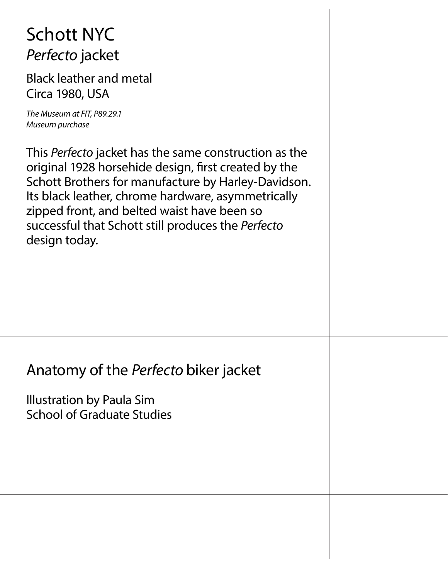### Schott NYC *Perfecto* jacket

Black leather and metal Circa 1980, USA

*The Museum at FIT, P89.29.1 Museum purchase*

This *Perfecto* jacket has the same construction as the original 1928 horsehide design, first created by the Schott Brothers for manufacture by Harley-Davidson. Its black leather, chrome hardware, asymmetrically zipped front, and belted waist have been so successful that Schott still produces the *Perfecto* design today.

#### Anatomy of the *Perfecto* biker jacket

Illustration by Paula Sim School of Graduate Studies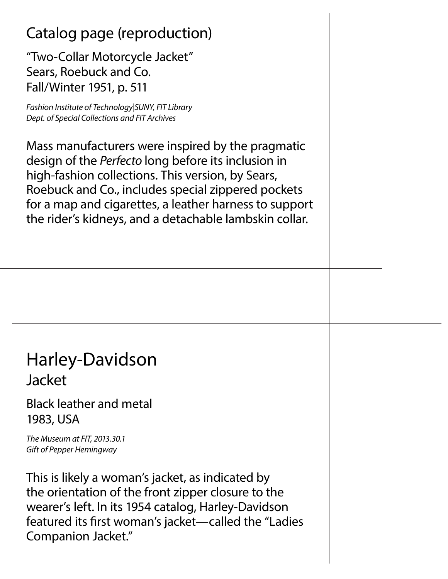#### Catalog page (reproduction)

"Two-Collar Motorcycle Jacket" Sears, Roebuck and Co. Fall/Winter 1951, p. 511

*Fashion Institute of Technology|SUNY, FIT Library Dept. of Special Collections and FIT Archives*

Mass manufacturers were inspired by the pragmatic design of the *Perfecto* long before its inclusion in high-fashion collections. This version, by Sears, Roebuck and Co., includes special zippered pockets for a map and cigarettes, a leather harness to support the rider's kidneys, and a detachable lambskin collar.

#### Harley-Davidson Jacket

Black leather and metal 1983, USA

*The Museum at FIT, 2013.30.1 Gift of Pepper Hemingway*

This is likely a woman's jacket, as indicated by the orientation of the front zipper closure to the wearer's left. In its 1954 catalog, Harley-Davidson featured its first woman's jacket—called the "Ladies Companion Jacket."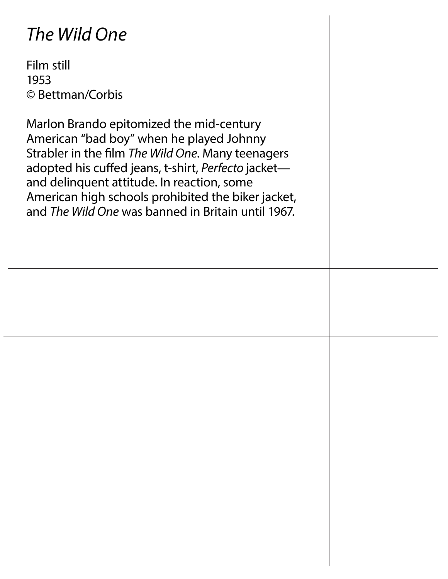### *The Wild One*

Film still 1953 © Bettman/Corbis

Marlon Brando epitomized the mid-century American "bad boy" when he played Johnny Strabler in the film *The Wild One*. Many teenagers adopted his cuffed jeans, t-shirt, *Perfecto* jacket and delinquent attitude. In reaction, some American high schools prohibited the biker jacket, and *The Wild One* was banned in Britain until 1967.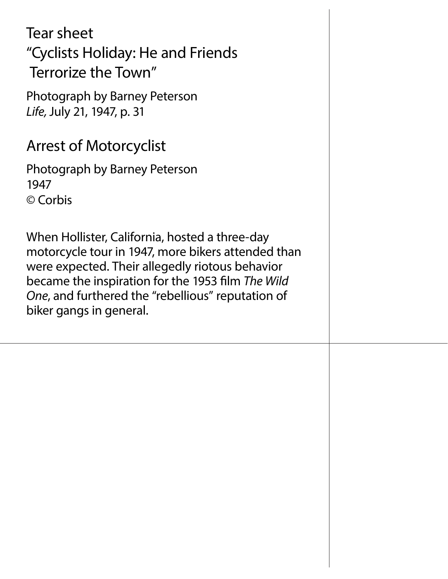Tear sheet "Cyclists Holiday: He and Friends Terrorize the Town"

Photograph by Barney Peterson *Life,* July 21, 1947, p. 31

#### Arrest of Motorcyclist

Photograph by Barney Peterson 1947 © Corbis

When Hollister, California, hosted a three-day motorcycle tour in 1947, more bikers attended than were expected. Their allegedly riotous behavior became the inspiration for the 1953 film *The Wild One*, and furthered the "rebellious" reputation of biker gangs in general.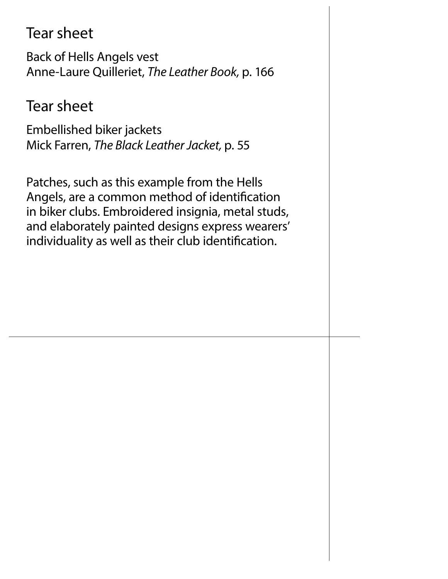#### Tear sheet

Back of Hells Angels vest Anne-Laure Quilleriet, *The Leather Book,* p. 166

#### Tear sheet

Embellished biker jackets Mick Farren, *The Black Leather Jacket,* p. 55

Patches, such as this example from the Hells Angels, are a common method of identification in biker clubs. Embroidered insignia, metal studs, and elaborately painted designs express wearers' individuality as well as their club identification.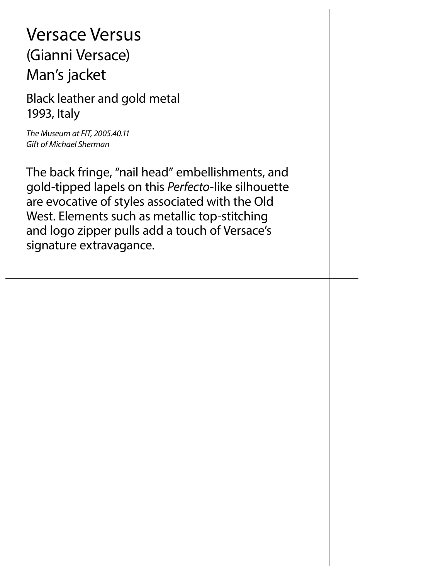### Versace Versus (Gianni Versace) Man's jacket

Black leather and gold metal 1993, Italy

*The Museum at FIT, 2005.40.11 Gift of Michael Sherman*

The back fringe, "nail head" embellishments, and gold-tipped lapels on this *Perfecto-*like silhouette are evocative of styles associated with the Old West. Elements such as metallic top-stitching and logo zipper pulls add a touch of Versace's signature extravagance.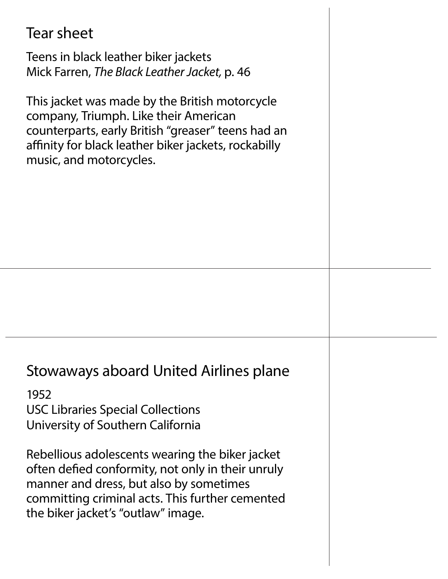### Tear sheet Teens in black leather biker jackets Mick Farren, *The Black Leather Jacket,* p. 46 This jacket was made by the British motorcycle company, Triumph. Like their American counterparts, early British "greaser" teens had an affinity for black leather biker jackets, rockabilly music, and motorcycles. Stowaways aboard United Airlines plane 1952 USC Libraries Special Collections University of Southern California Rebellious adolescents wearing the biker jacket often defied conformity, not only in their unruly manner and dress, but also by sometimes committing criminal acts. This further cemented the biker jacket's "outlaw" image.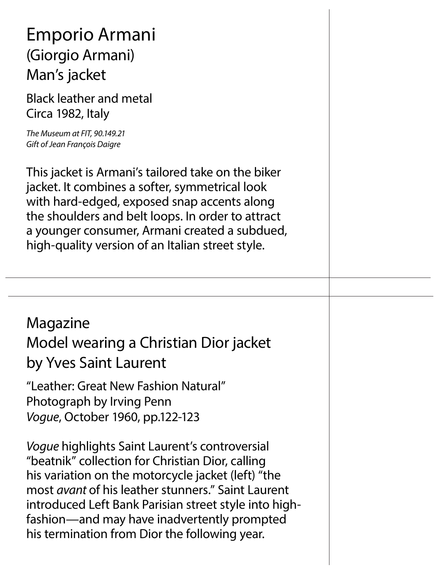### Emporio Armani (Giorgio Armani) Man's jacket

Black leather and metal Circa 1982, Italy

*The Museum at FIT, 90.149.21 Gift of Jean François Daigre*

This jacket is Armani's tailored take on the biker jacket. It combines a softer, symmetrical look with hard-edged, exposed snap accents along the shoulders and belt loops. In order to attract a younger consumer, Armani created a subdued, high-quality version of an Italian street style.

#### Magazine Model wearing a Christian Dior jacket by Yves Saint Laurent

"Leather: Great New Fashion Natural" Photograph by Irving Penn *Vogue*, October 1960, pp.122-123

*Vogue* highlights Saint Laurent's controversial "beatnik" collection for Christian Dior, calling his variation on the motorcycle jacket (left) "the most *avant* of his leather stunners." Saint Laurent introduced Left Bank Parisian street style into highfashion—and may have inadvertently prompted his termination from Dior the following year.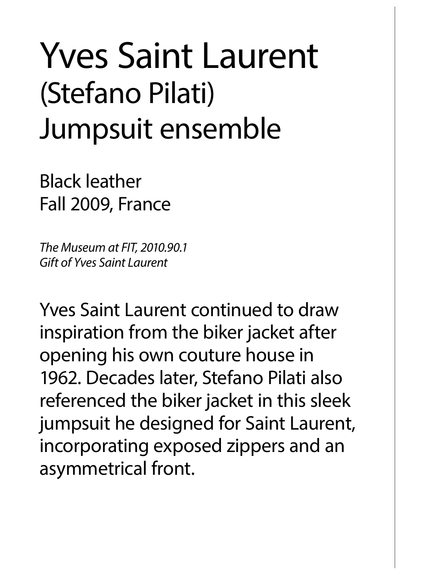# Yves Saint Laurent (Stefano Pilati) Jumpsuit ensemble

Black leather Fall 2009, France

*The Museum at FIT, 2010.90.1 Gift of Yves Saint Laurent*

Yves Saint Laurent continued to draw inspiration from the biker jacket after opening his own couture house in 1962. Decades later, Stefano Pilati also referenced the biker jacket in this sleek jumpsuit he designed for Saint Laurent, incorporating exposed zippers and an asymmetrical front.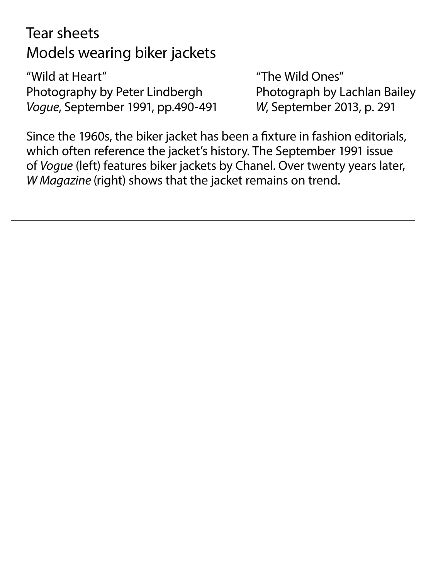Tear sheets Models wearing biker jackets

"Wild at Heart" "The Wild Ones" Photography by Peter Lindbergh Photograph by Lachlan Bailey *Vogue*, September 1991, pp.490-491 *W*, September 2013, p. 291

Since the 1960s, the biker jacket has been a fixture in fashion editorials, which often reference the jacket's history. The September 1991 issue of *Vogue* (left) features biker jackets by Chanel. Over twenty years later, *W Magazine* (right) shows that the jacket remains on trend.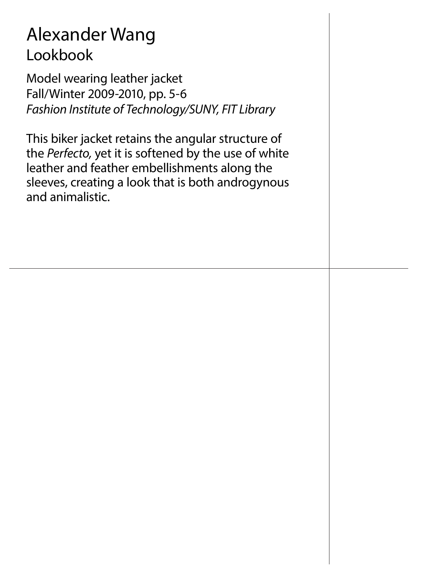### Alexander Wang Lookbook

Model wearing leather jacket Fall/Winter 2009-2010, pp. 5-6 *Fashion Institute of Technology/SUNY, FIT Library* 

This biker jacket retains the angular structure of the *Perfecto,* yet it is softened by the use of white leather and feather embellishments along the sleeves, creating a look that is both androgynous and animalistic.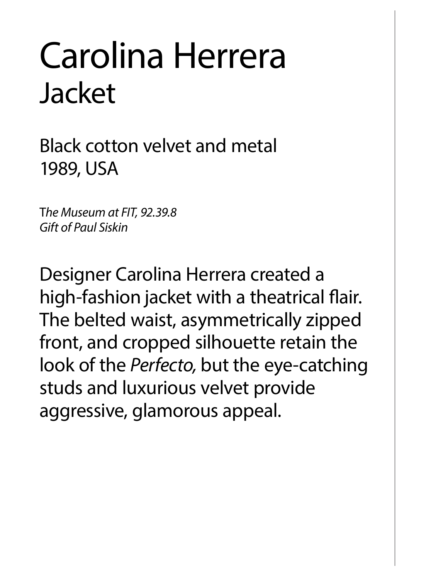# Carolina Herrera Jacket

Black cotton velvet and metal 1989, USA

T*he Museum at FIT, 92.39.8 Gift of Paul Siskin*

Designer Carolina Herrera created a high-fashion jacket with a theatrical flair. The belted waist, asymmetrically zipped front, and cropped silhouette retain the look of the *Perfecto,* but the eye-catching studs and luxurious velvet provide aggressive, glamorous appeal.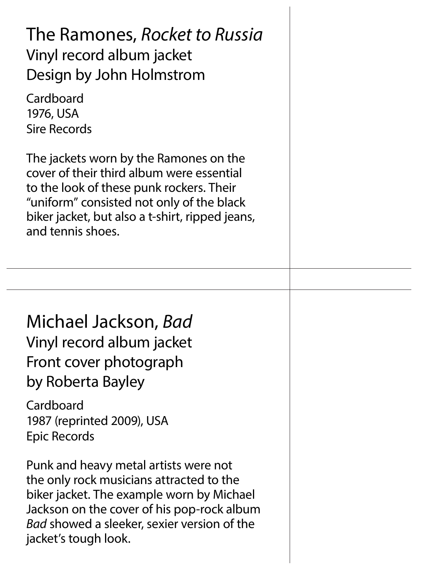| The Ramones, Rocket to Russia<br>Vinyl record album jacket<br>Design by John Holmstrom<br>Cardboard<br>1976, USA<br><b>Sire Records</b>                                                                                                                    |  |
|------------------------------------------------------------------------------------------------------------------------------------------------------------------------------------------------------------------------------------------------------------|--|
| The jackets worn by the Ramones on the<br>cover of their third album were essential<br>to the look of these punk rockers. Their<br>"uniform" consisted not only of the black<br>biker jacket, but also a t-shirt, ripped jeans,<br>and tennis shoes.       |  |
|                                                                                                                                                                                                                                                            |  |
| Michael Jackson, Bad<br>Vinyl record album jacket<br>Front cover photograph<br>by Roberta Bayley<br>Cardboard<br>1987 (reprinted 2009), USA<br>Epic Records                                                                                                |  |
| Punk and heavy metal artists were not<br>the only rock musicians attracted to the<br>biker jacket. The example worn by Michael<br>Jackson on the cover of his pop-rock album<br><i>Bad</i> showed a sleeker, sexier version of the<br>jacket's tough look. |  |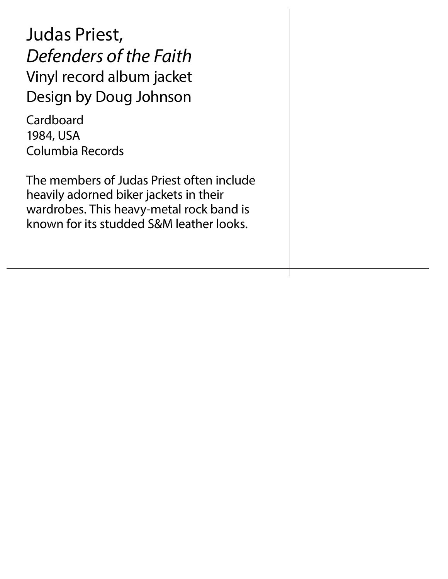Judas Priest, *Defenders of the Faith* Vinyl record album jacket Design by Doug Johnson

Cardboard 1984, USA Columbia Records

The members of Judas Priest often include heavily adorned biker jackets in their wardrobes. This heavy-metal rock band is known for its studded S&M leather looks.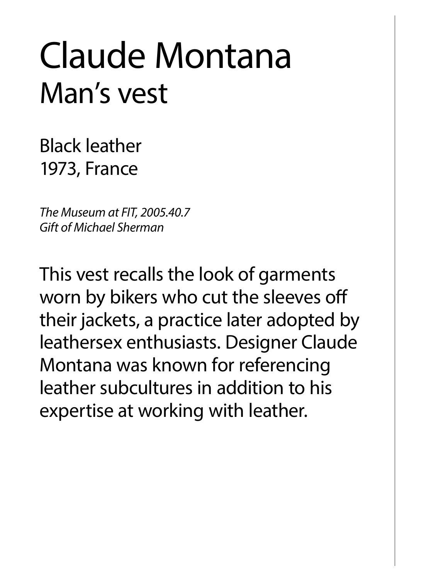# Claude Montana Man's vest

Black leather 1973, France

*The Museum at FIT, 2005.40.7 Gift of Michael Sherman*

This vest recalls the look of garments worn by bikers who cut the sleeves off their jackets, a practice later adopted by leathersex enthusiasts. Designer Claude Montana was known for referencing leather subcultures in addition to his expertise at working with leather.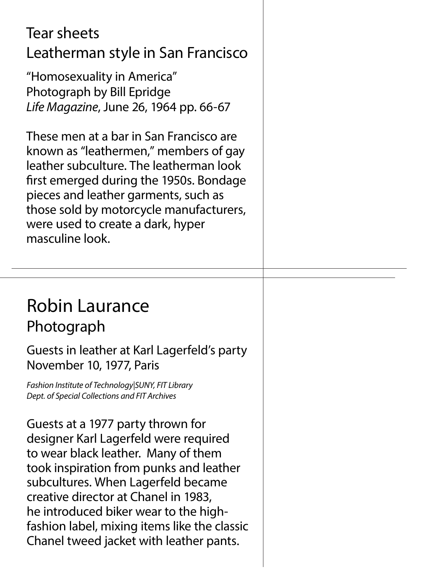### Tear sheets Leatherman style in San Francisco "Homosexuality in America" Photograph by Bill Epridge *Life Magazine*, June 26, 1964 pp. 66-67

These men at a bar in San Francisco are known as "leathermen," members of gay leather subculture. The leatherman look first emerged during the 1950s. Bondage pieces and leather garments, such as those sold by motorcycle manufacturers, were used to create a dark, hyper masculine look.

#### Robin Laurance Photograph

Guests in leather at Karl Lagerfeld's party November 10, 1977, Paris

*Fashion Institute of Technology|SUNY, FIT Library Dept. of Special Collections and FIT Archives*

Guests at a 1977 party thrown for designer Karl Lagerfeld were required to wear black leather. Many of them took inspiration from punks and leather subcultures. When Lagerfeld became creative director at Chanel in 1983, he introduced biker wear to the highfashion label, mixing items like the classic Chanel tweed jacket with leather pants.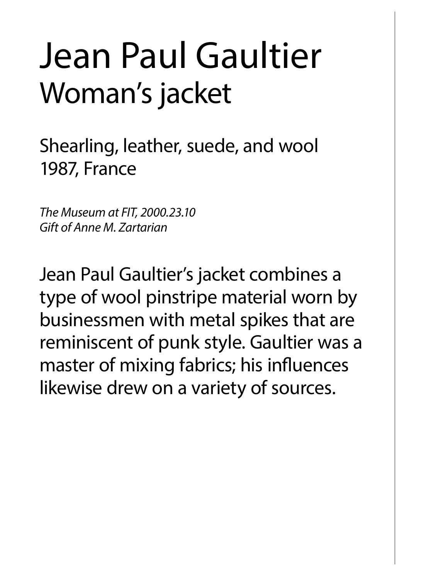# Jean Paul Gaultier Woman's jacket

Shearling, leather, suede, and wool 1987, France

*The Museum at FIT, 2000.23.10 Gift of Anne M. Zartarian*

Jean Paul Gaultier's jacket combines a type of wool pinstripe material worn by businessmen with metal spikes that are reminiscent of punk style. Gaultier was a master of mixing fabrics; his influences likewise drew on a variety of sources.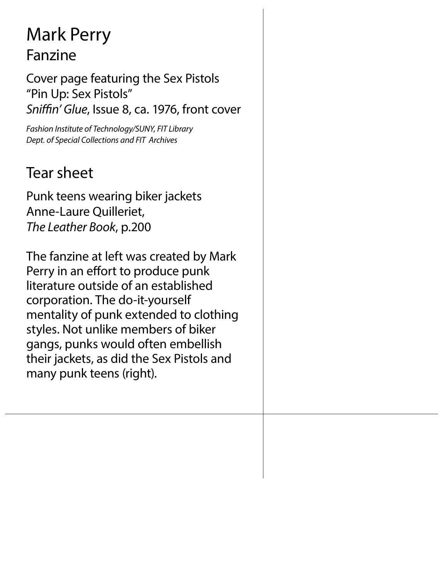### Mark Perry Fanzine

Cover page featuring the Sex Pistols "Pin Up: Sex Pistols" *Sniffin' Glue*, Issue 8, ca. 1976, front cover

*Fashion Institute of Technology/SUNY, FIT Library Dept. of Special Collections and FIT Archives*

#### Tear sheet

Punk teens wearing biker jackets Anne-Laure Quilleriet, *The Leather Book*, p.200

The fanzine at left was created by Mark Perry in an effort to produce punk literature outside of an established corporation. The do-it-yourself mentality of punk extended to clothing styles. Not unlike members of biker gangs, punks would often embellish their jackets, as did the Sex Pistols and many punk teens (right).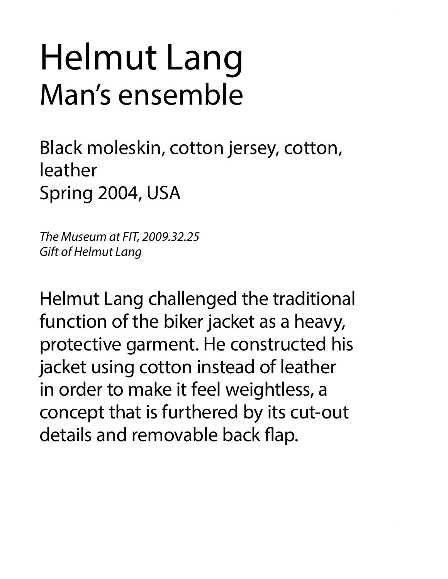# Helmut Lang Man's ensemble

Black moleskin, cotton jersey, cotton, leather Spring 2004, USA

*The Museum at FIT, 2009.32.25 Gift of Helmut Lang*

Helmut Lang challenged the traditional function of the biker jacket as a heavy, protective garment. He constructed his jacket using cotton instead of leather in order to make it feel weightless, a concept that is furthered by its cut-out details and removable back flap.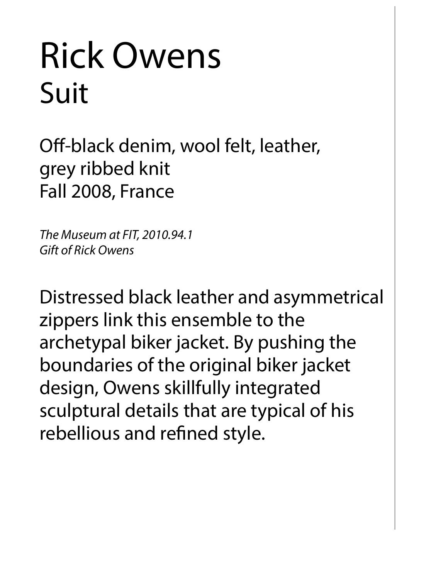# Rick Owens Suit

Off-black denim, wool felt, leather, grey ribbed knit Fall 2008, France

*The Museum at FIT, 2010.94.1 Gift of Rick Owens*

Distressed black leather and asymmetrical zippers link this ensemble to the archetypal biker jacket. By pushing the boundaries of the original biker jacket design, Owens skillfully integrated sculptural details that are typical of his rebellious and refined style.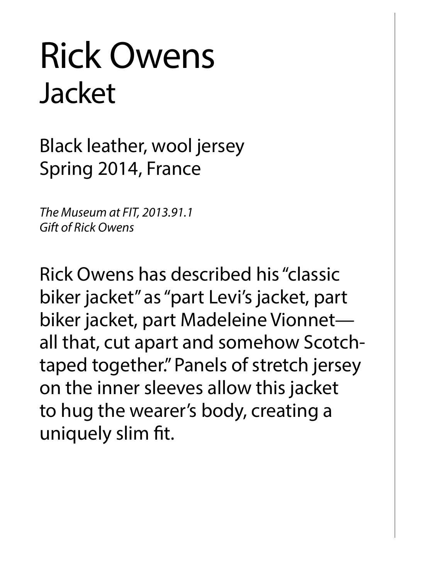# Rick Owens Jacket

Black leather, wool jersey Spring 2014, France

*The Museum at FIT, 2013.91.1 Gift of Rick Owens*

Rick Owens has described his "classic biker jacket" as "part Levi's jacket, part biker jacket, part Madeleine Vionnet all that, cut apart and somehow Scotchtaped together." Panels of stretch jersey on the inner sleeves allow this jacket to hug the wearer's body, creating a uniquely slim fit.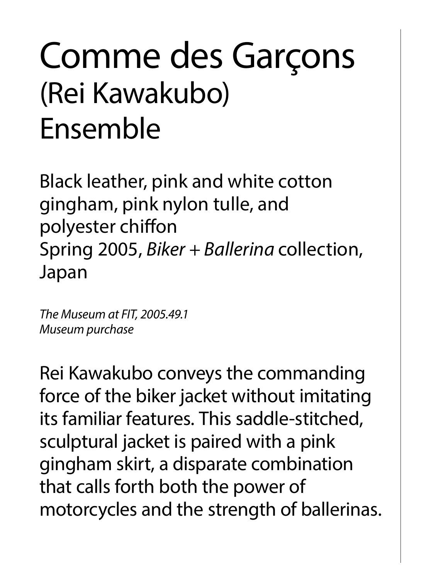# Comme des Garçons (Rei Kawakubo) Ensemble

Black leather, pink and white cotton gingham, pink nylon tulle, and polyester chiffon Spring 2005, *Biker + Ballerina* collection, Japan

*The Museum at FIT, 2005.49.1 Museum purchase*

Rei Kawakubo conveys the commanding force of the biker jacket without imitating its familiar features. This saddle-stitched, sculptural jacket is paired with a pink gingham skirt, a disparate combination that calls forth both the power of motorcycles and the strength of ballerinas.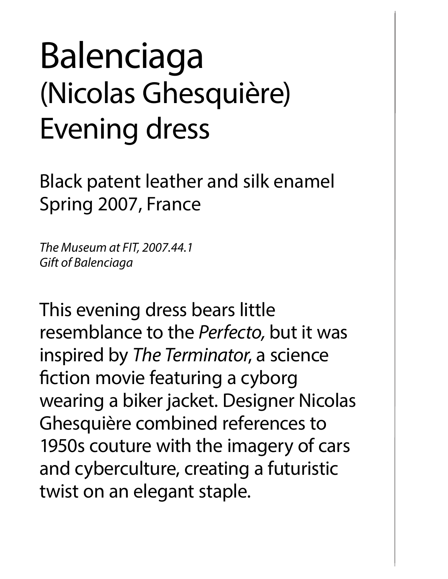# Balenciaga (Nicolas Ghesquière) Evening dress

Black patent leather and silk enamel Spring 2007, France

*The Museum at FIT, 2007.44.1 Gift of Balenciaga*

This evening dress bears little resemblance to the *Perfecto,* but it was inspired by *The Terminator*, a science fiction movie featuring a cyborg wearing a biker jacket. Designer Nicolas Ghesquière combined references to 1950s couture with the imagery of cars and cyberculture, creating a futuristic twist on an elegant staple.